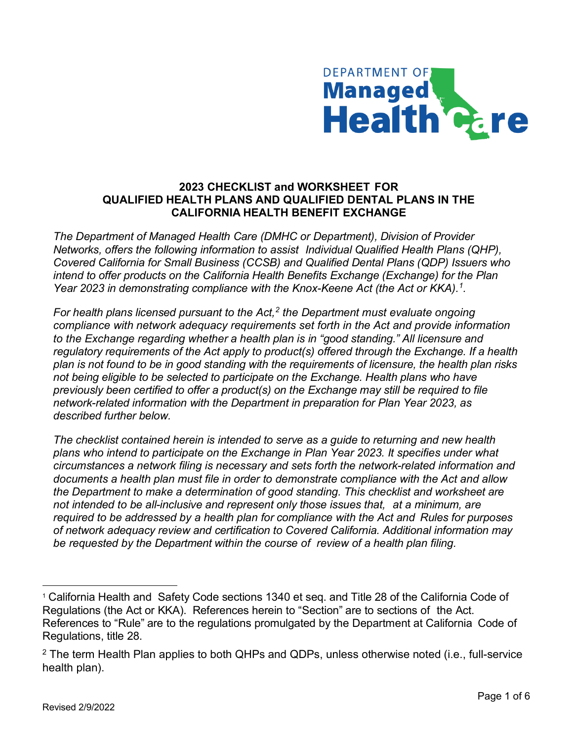

## **2023 CHECKLIST and WORKSHEET FOR QUALIFIED HEALTH PLANS AND QUALIFIED DENTAL PLANS IN THE CALIFORNIA HEALTH BENEFIT EXCHANGE**

*The Department of Managed Health Care (DMHC or Department), Division of Provider Networks, offers the following information to assist Individual Qualified Health Plans (QHP), Covered California for Small Business (CCSB) and Qualified Dental Plans (QDP) Issuers who intend to offer products on the California Health Benefits Exchange (Exchange) for the Plan Year 2023 in demonstrating compliance with the Knox-Keene Act (the Act or KKA). [1](#page-0-0) .* 

*For health plans licensed pursuant to the Act,[2](#page-0-1) the Department must evaluate ongoing compliance with network adequacy requirements set forth in the Act and provide information to the Exchange regarding whether a health plan is in "good standing." All licensure and regulatory requirements of the Act apply to product(s) offered through the Exchange. If a health plan is not found to be in good standing with the requirements of licensure, the health plan risks not being eligible to be selected to participate on the Exchange. Health plans who have previously been certified to offer a product(s) on the Exchange may still be required to file network-related information with the Department in preparation for Plan Year 2023, as described further below.*

*The checklist contained herein is intended to serve as a guide to returning and new health plans who intend to participate on the Exchange in Plan Year 2023. It specifies under what circumstances a network filing is necessary and sets forth the network-related information and documents a health plan must file in order to demonstrate compliance with the Act and allow the Department to make a determination of good standing. This checklist and worksheet are not intended to be all-inclusive and represent only those issues that, at a minimum, are required to be addressed by a health plan for compliance with the Act and Rules for purposes of network adequacy review and certification to Covered California. Additional information may be requested by the Department within the course of review of a health plan filing.*

<span id="page-0-0"></span><sup>1</sup> California Health and Safety Code sections 1340 et seq. and Title 28 of the California Code of Regulations (the Act or KKA). References herein to "Section" are to sections of the Act. References to "Rule" are to the regulations promulgated by the Department at California Code of Regulations, title 28.

<span id="page-0-1"></span> $2$  The term Health Plan applies to both QHPs and QDPs, unless otherwise noted (i.e., full-service health plan).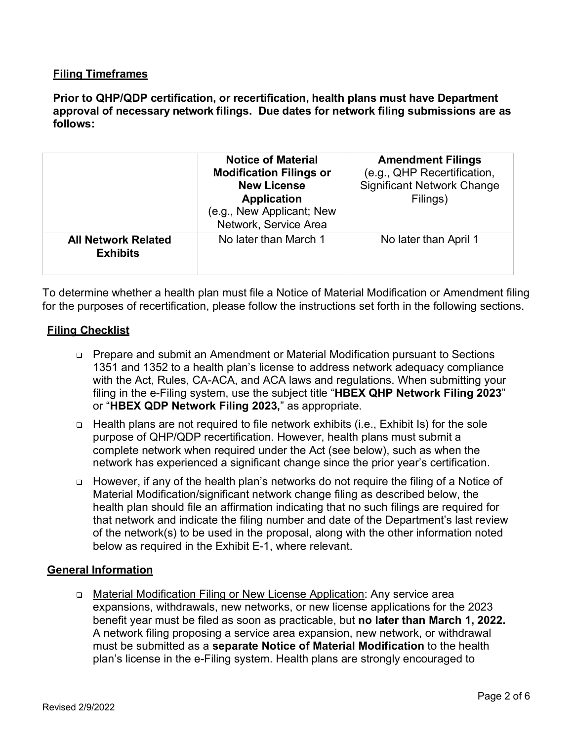## **Filing Timeframes**

**Prior to QHP/QDP certification, or recertification, health plans must have Department approval of necessary network filings. Due dates for network filing submissions are as follows:**

|                                               | <b>Notice of Material</b><br><b>Modification Filings or</b><br><b>New License</b><br><b>Application</b><br>(e.g., New Applicant; New<br>Network, Service Area | <b>Amendment Filings</b><br>(e.g., QHP Recertification,<br><b>Significant Network Change</b><br>Filings) |
|-----------------------------------------------|---------------------------------------------------------------------------------------------------------------------------------------------------------------|----------------------------------------------------------------------------------------------------------|
| <b>All Network Related</b><br><b>Exhibits</b> | No later than March 1                                                                                                                                         | No later than April 1                                                                                    |

To determine whether a health plan must file a Notice of Material Modification or Amendment filing for the purposes of recertification, please follow the instructions set forth in the following sections.

## **Filing Checklist**

- Prepare and submit an Amendment or Material Modification pursuant to Sections 1351 and 1352 to a health plan's license to address network adequacy compliance with the Act, Rules, CA-ACA, and ACA laws and regulations. When submitting your filing in the e-Filing system, use the subject title "**HBEX QHP Network Filing 2023**" or "**HBEX QDP Network Filing 2023,**" as appropriate.
- Health plans are not required to file network exhibits (i.e., Exhibit Is) for the sole purpose of QHP/QDP recertification. However, health plans must submit a complete network when required under the Act (see below), such as when the network has experienced a significant change since the prior year's certification.
- However, if any of the health plan's networks do not require the filing of a Notice of Material Modification/significant network change filing as described below, the health plan should file an affirmation indicating that no such filings are required for that network and indicate the filing number and date of the Department's last review of the network(s) to be used in the proposal, along with the other information noted below as required in the Exhibit E-1, where relevant.

## **General Information**

□ Material Modification Filing or New License Application: Any service area expansions, withdrawals, new networks, or new license applications for the 2023 benefit year must be filed as soon as practicable, but **no later than March 1, 2022.** A network filing proposing a service area expansion, new network, or withdrawal must be submitted as a **separate Notice of Material Modification** to the health plan's license in the e-Filing system. Health plans are strongly encouraged to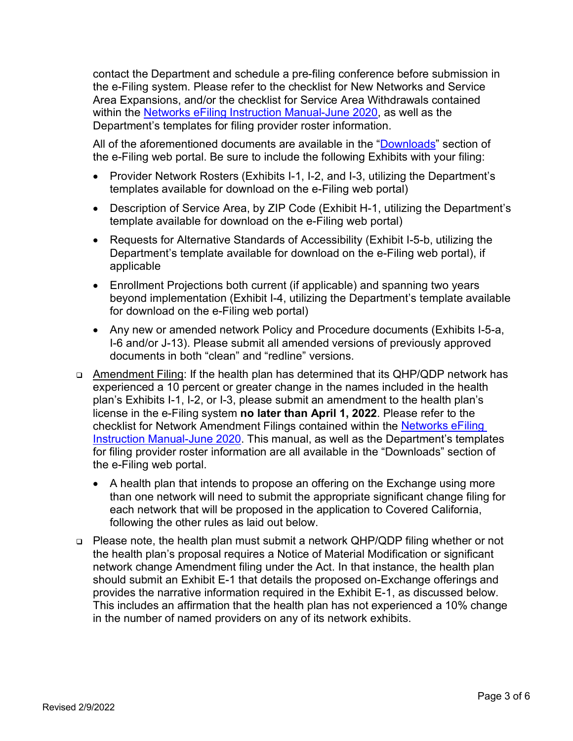contact the Department and schedule a pre-filing conference before submission in the e-Filing system. Please refer to the checklist for New Networks and Service Area Expansions, and/or the checklist for Service Area Withdrawals contained within the [Networks eFiling Instruction Manual-June 2020,](https://wpso.dmhc.ca.gov/secure/efile/docs/doctypes/Networks%20eFiling%20Instruction%20Manual-June%202020.pdf) as well as the Department's templates for filing provider roster information.

All of the aforementioned documents are available in the ["Downloads"](https://wpso.dmhc.ca.gov/secure/efile/download/) section of the e-Filing web portal. Be sure to include the following Exhibits with your filing:

- Provider Network Rosters (Exhibits I-1, I-2, and I-3, utilizing the Department's templates available for download on the e-Filing web portal)
- Description of Service Area, by ZIP Code (Exhibit H-1, utilizing the Department's template available for download on the e-Filing web portal)
- Requests for Alternative Standards of Accessibility (Exhibit I-5-b, utilizing the Department's template available for download on the e-Filing web portal), if applicable
- Enrollment Projections both current (if applicable) and spanning two years beyond implementation (Exhibit I-4, utilizing the Department's template available for download on the e-Filing web portal)
- Any new or amended network Policy and Procedure documents (Exhibits I-5-a, I-6 and/or J-13). Please submit all amended versions of previously approved documents in both "clean" and "redline" versions.
- Amendment Filing: If the health plan has determined that its QHP/QDP network has experienced a 10 percent or greater change in the names included in the health plan's Exhibits I-1, I-2, or I-3, please submit an amendment to the health plan's license in the e-Filing system **no later than April 1, 2022**. Please refer to the checklist for Network Amendment Filings contained within the [Networks eFiling](https://wpso.dmhc.ca.gov/secure/efile/docs/doctypes/Networks%20eFiling%20Instruction%20Manual-June%202020.pdf) [Instruction Manual-June 2020.](https://wpso.dmhc.ca.gov/secure/efile/docs/doctypes/Networks%20eFiling%20Instruction%20Manual-June%202020.pdf) This manual, as well as the Department's templates for filing provider roster information are all available in the "Downloads" section of the e-Filing web portal.
	- A health plan that intends to propose an offering on the Exchange using more than one network will need to submit the appropriate significant change filing for each network that will be proposed in the application to Covered California, following the other rules as laid out below.
- Please note, the health plan must submit a network QHP/QDP filing whether or not the health plan's proposal requires a Notice of Material Modification or significant network change Amendment filing under the Act. In that instance, the health plan should submit an Exhibit E-1 that details the proposed on-Exchange offerings and provides the narrative information required in the Exhibit E-1, as discussed below. This includes an affirmation that the health plan has not experienced a 10% change in the number of named providers on any of its network exhibits.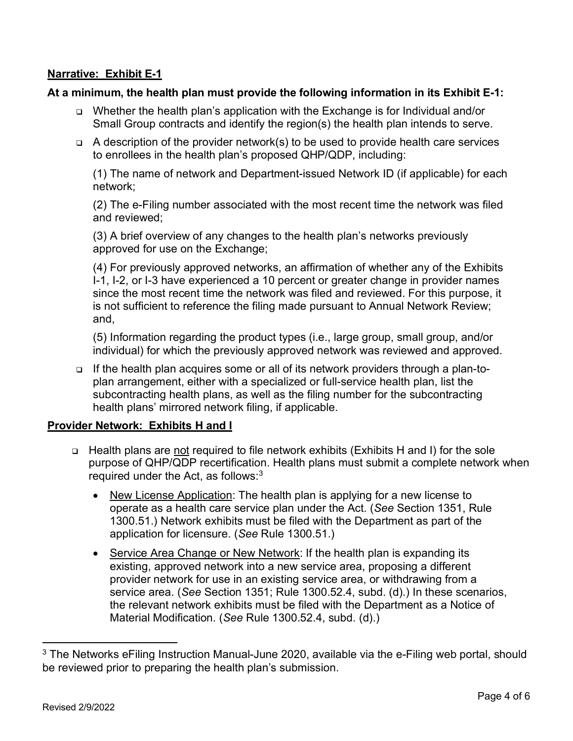# **Narrative: Exhibit E-1**

#### **At a minimum, the health plan must provide the following information in its Exhibit E-1:**

- Whether the health plan's application with the Exchange is for Individual and/or Small Group contracts and identify the region(s) the health plan intends to serve.
- $\Box$  A description of the provider network(s) to be used to provide health care services to enrollees in the health plan's proposed QHP/QDP, including:

(1) The name of network and Department-issued Network ID (if applicable) for each network;

(2) The e-Filing number associated with the most recent time the network was filed and reviewed;

(3) A brief overview of any changes to the health plan's networks previously approved for use on the Exchange;

(4) For previously approved networks, an affirmation of whether any of the Exhibits I-1, I-2, or I-3 have experienced a 10 percent or greater change in provider names since the most recent time the network was filed and reviewed. For this purpose, it is not sufficient to reference the filing made pursuant to Annual Network Review; and,

(5) Information regarding the product types (i.e., large group, small group, and/or individual) for which the previously approved network was reviewed and approved.

 If the health plan acquires some or all of its network providers through a plan-toplan arrangement, either with a specialized or full-service health plan, list the subcontracting health plans, as well as the filing number for the subcontracting health plans' mirrored network filing, if applicable.

#### **Provider Network: Exhibits H and I**

- Health plans are not required to file network exhibits (Exhibits H and I) for the sole purpose of QHP/QDP recertification. Health plans must submit a complete network when required under the Act, as follows: $3$ 
	- New License Application: The health plan is applying for a new license to operate as a health care service plan under the Act. (*See* Section 1351, Rule 1300.51.) Network exhibits must be filed with the Department as part of the application for licensure. (*See* Rule 1300.51.)
	- Service Area Change or New Network: If the health plan is expanding its existing, approved network into a new service area, proposing a different provider network for use in an existing service area, or withdrawing from a service area. (*See* Section 1351; Rule 1300.52.4, subd. (d).) In these scenarios, the relevant network exhibits must be filed with the Department as a Notice of Material Modification. (*See* Rule 1300.52.4, subd. (d).)

<span id="page-3-0"></span><sup>&</sup>lt;sup>3</sup> The Networks eFiling Instruction Manual-June 2020, available via the e-Filing web portal, should be reviewed prior to preparing the health plan's submission.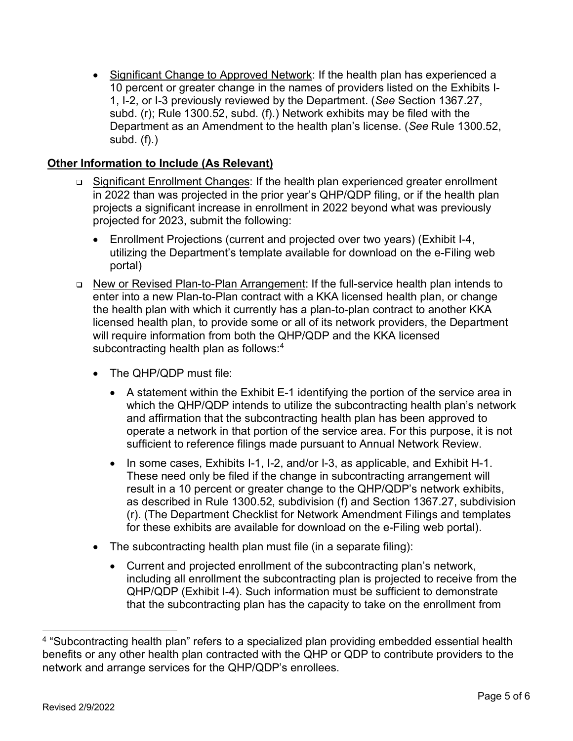• Significant Change to Approved Network: If the health plan has experienced a 10 percent or greater change in the names of providers listed on the Exhibits I-1, I-2, or I-3 previously reviewed by the Department. (*See* Section 1367.27, subd. (r); Rule 1300.52, subd. (f).) Network exhibits may be filed with the Department as an Amendment to the health plan's license. (*See* Rule 1300.52, subd. (f).)

# **Other Information to Include (As Relevant)**

- Significant Enrollment Changes: If the health plan experienced greater enrollment in 2022 than was projected in the prior year's QHP/QDP filing, or if the health plan projects a significant increase in enrollment in 2022 beyond what was previously projected for 2023, submit the following:
	- Enrollment Projections (current and projected over two years) (Exhibit I-4, utilizing the Department's template available for download on the e-Filing web portal)
- New or Revised Plan-to-Plan Arrangement: If the full-service health plan intends to enter into a new Plan-to-Plan contract with a KKA licensed health plan, or change the health plan with which it currently has a plan-to-plan contract to another KKA licensed health plan, to provide some or all of its network providers, the Department will require information from both the QHP/QDP and the KKA licensed subcontracting health plan as follows:<sup>4</sup>
	- The QHP/QDP must file:
		- A statement within the Exhibit E-1 identifying the portion of the service area in which the QHP/QDP intends to utilize the subcontracting health plan's network and affirmation that the subcontracting health plan has been approved to operate a network in that portion of the service area. For this purpose, it is not sufficient to reference filings made pursuant to Annual Network Review.
		- In some cases, Exhibits I-1, I-2, and/or I-3, as applicable, and Exhibit H-1. These need only be filed if the change in subcontracting arrangement will result in a 10 percent or greater change to the QHP/QDP's network exhibits, as described in Rule 1300.52, subdivision (f) and Section 1367.27, subdivision (r). (The Department Checklist for Network Amendment Filings and templates for these exhibits are available for download on the e-Filing web portal).
	- The subcontracting health plan must file (in a separate filing):
		- Current and projected enrollment of the subcontracting plan's network, including all enrollment the subcontracting plan is projected to receive from the QHP/QDP (Exhibit I-4). Such information must be sufficient to demonstrate that the subcontracting plan has the capacity to take on the enrollment from

<span id="page-4-0"></span><sup>&</sup>lt;sup>4</sup> "Subcontracting health plan" refers to a specialized plan providing embedded essential health benefits or any other health plan contracted with the QHP or QDP to contribute providers to the network and arrange services for the QHP/QDP's enrollees.